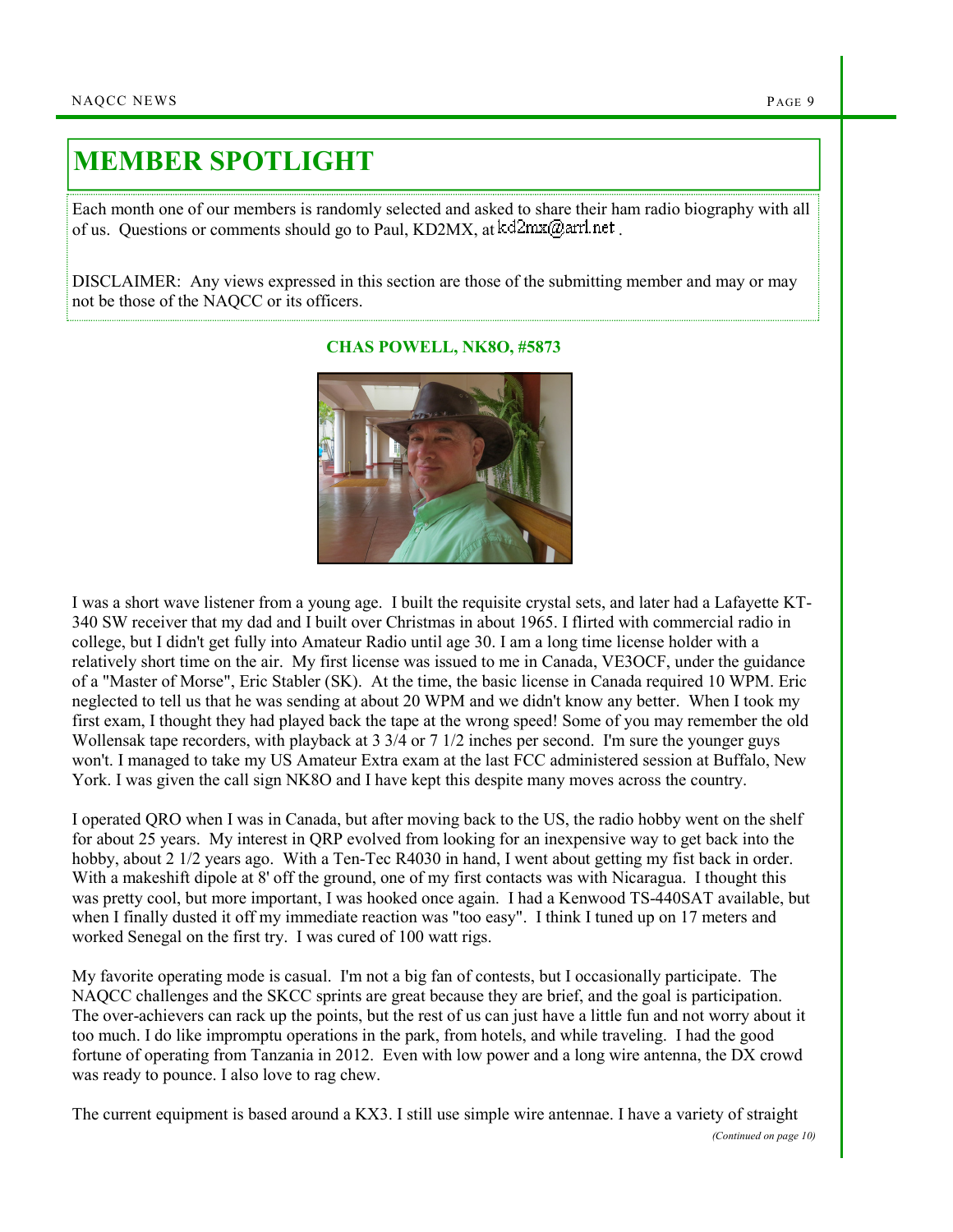## MEMBER SPOTLIGHT

Each month one of our members is randomly selected and asked to share their ham radio biography with all of us. Questions or comments should go to Paul, KD2MX, at  $kd2mx@ar1net$ .

DISCLAIMER: Any views expressed in this section are those of the submitting member and may or may not be those of the NAQCC or its officers.



I was a short wave listener from a young age. I built the requisite crystal sets, and later had a Lafayette KT-340 SW receiver that my dad and I built over Christmas in about 1965. I flirted with commercial radio in college, but I didn't get fully into Amateur Radio until age 30. I am a long time license holder with a relatively short time on the air. My first license was issued to me in Canada, VE3OCF, under the guidance of a "Master of Morse", Eric Stabler (SK). At the time, the basic license in Canada required 10 WPM. Eric neglected to tell us that he was sending at about 20 WPM and we didn't know any better. When I took my first exam, I thought they had played back the tape at the wrong speed! Some of you may remember the old Wollensak tape recorders, with playback at 3 3/4 or 7 1/2 inches per second. I'm sure the younger guys won't. I managed to take my US Amateur Extra exam at the last FCC administered session at Buffalo, New York. I was given the call sign NK8O and I have kept this despite many moves across the country.

I operated QRO when I was in Canada, but after moving back to the US, the radio hobby went on the shelf for about 25 years. My interest in QRP evolved from looking for an inexpensive way to get back into the hobby, about 2 1/2 years ago. With a Ten-Tec R4030 in hand, I went about getting my fist back in order. With a makeshift dipole at 8' off the ground, one of my first contacts was with Nicaragua. I thought this was pretty cool, but more important, I was hooked once again. I had a Kenwood TS-440SAT available, but when I finally dusted it off my immediate reaction was "too easy". I think I tuned up on 17 meters and worked Senegal on the first try. I was cured of 100 watt rigs.

My favorite operating mode is casual. I'm not a big fan of contests, but I occasionally participate. The NAQCC challenges and the SKCC sprints are great because they are brief, and the goal is participation. The over-achievers can rack up the points, but the rest of us can just have a little fun and not worry about it too much. I do like impromptu operations in the park, from hotels, and while traveling. I had the good fortune of operating from Tanzania in 2012. Even with low power and a long wire antenna, the DX crowd was ready to pounce. I also love to rag chew.

The current equipment is based around a KX3. I still use simple wire antennae. I have a variety of straight